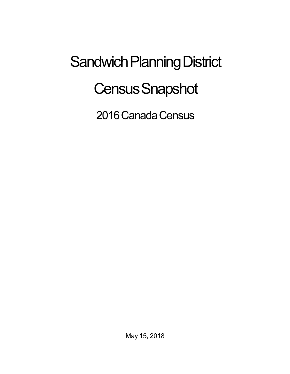## Sandwich Planning District **Census Snapshot**

2016 Canada Census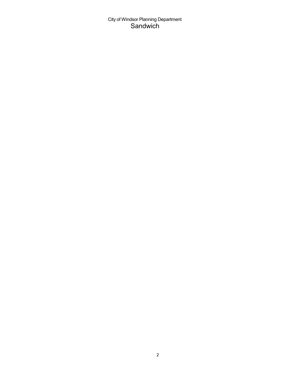## City of Windsor Planning Department Sandwich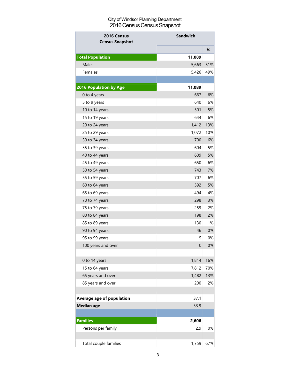## City of Windsor Planning Department 2016 Census Census Snapshot

| <b>Sandwich</b><br>2016 Census<br><b>Census Snapshot</b> |                  |     |  |
|----------------------------------------------------------|------------------|-----|--|
|                                                          |                  | %   |  |
| <b>Total Population</b>                                  | 11,089           |     |  |
| Males                                                    | 5,663            | 51% |  |
| Females                                                  | 5,426            | 49% |  |
|                                                          |                  |     |  |
| <b>2016 Population by Age</b>                            | 11,089           |     |  |
| 0 to 4 years                                             | 667              | 6%  |  |
| 5 to 9 years                                             | 640              | 6%  |  |
| 10 to 14 years                                           | 501              | 5%  |  |
| 15 to 19 years                                           | 644              | 6%  |  |
| 20 to 24 years                                           | 1,412            | 13% |  |
| 25 to 29 years                                           | 1,072            | 10% |  |
| 30 to 34 years                                           | 700              | 6%  |  |
| 35 to 39 years                                           | 604              | 5%  |  |
| 40 to 44 years                                           | 609              | 5%  |  |
| 45 to 49 years                                           | 650              | 6%  |  |
| 50 to 54 years                                           | 743              | 7%  |  |
| 55 to 59 years                                           | 707              | 6%  |  |
| 60 to 64 years                                           | 592              | 5%  |  |
| 65 to 69 years                                           | 494              | 4%  |  |
| 70 to 74 years                                           | 298              | 3%  |  |
| 75 to 79 years                                           | 259              | 2%  |  |
| 80 to 84 years                                           | 198              | 2%  |  |
| 85 to 89 years                                           | 130              | 1%  |  |
| 90 to 94 years                                           | 46               | 0%  |  |
| 95 to 99 years                                           | 5                | 0%  |  |
| 100 years and over                                       | $\boldsymbol{0}$ | 0%  |  |
|                                                          |                  |     |  |
| 0 to 14 years                                            | 1,814            | 16% |  |
| 15 to 64 years                                           | 7,812            | 70% |  |
| 65 years and over                                        | 1,482            | 13% |  |
| 85 years and over                                        | 200              | 2%  |  |
|                                                          |                  |     |  |
| <b>Average age of population</b>                         | 37.1             |     |  |
| <b>Median age</b>                                        | 33.9             |     |  |
| <b>Families</b>                                          | 2,606            |     |  |
| Persons per family                                       | 2.9              | 0%  |  |
| Total couple families                                    | 1,759            | 67% |  |